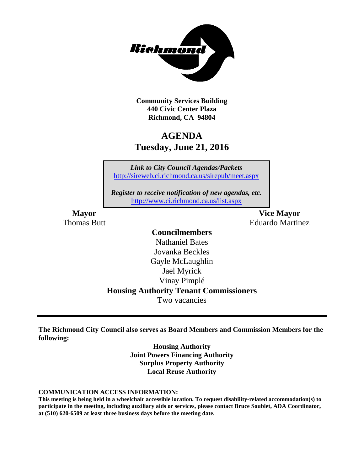

**Community Services Building 440 Civic Center Plaza Richmond, CA 94804**

# **AGENDA Tuesday, June 21, 2016**

*Link to City Council Agendas/Packets* <http://sireweb.ci.richmond.ca.us/sirepub/meet.aspx>

*Register to receive notification of new agendas, etc.* <http://www.ci.richmond.ca.us/list.aspx>

**Mayor Vice Mayor** Thomas Butt **Eduardo Martinez** 

### **Councilmembers**

Nathaniel Bates Jovanka Beckles Gayle McLaughlin Jael Myrick Vinay Pimplé **Housing Authority Tenant Commissioners** Two vacancies

**The Richmond City Council also serves as Board Members and Commission Members for the following:**

> **Housing Authority Joint Powers Financing Authority Surplus Property Authority Local Reuse Authority**

**COMMUNICATION ACCESS INFORMATION:**

**This meeting is being held in a wheelchair accessible location. To request disability-related accommodation(s) to participate in the meeting, including auxiliary aids or services, please contact Bruce Soublet, ADA Coordinator, at (510) 620-6509 at least three business days before the meeting date.**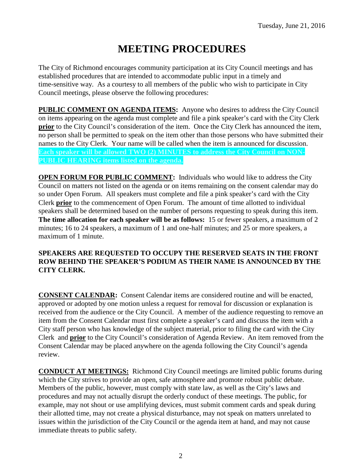# **MEETING PROCEDURES**

The City of Richmond encourages community participation at its City Council meetings and has established procedures that are intended to accommodate public input in a timely and time-sensitive way. As a courtesy to all members of the public who wish to participate in City Council meetings, please observe the following procedures:

**PUBLIC COMMENT ON AGENDA ITEMS:** Anyone who desires to address the City Council on items appearing on the agenda must complete and file a pink speaker's card with the City Clerk **prior** to the City Council's consideration of the item. Once the City Clerk has announced the item, no person shall be permitted to speak on the item other than those persons who have submitted their names to the City Clerk. Your name will be called when the item is announced for discussion. **Each speaker will be allowed TWO (2) MINUTES to address the City Council on NON-PUBLIC HEARING items listed on the agenda.**

**OPEN FORUM FOR PUBLIC COMMENT:** Individuals who would like to address the City Council on matters not listed on the agenda or on items remaining on the consent calendar may do so under Open Forum. All speakers must complete and file a pink speaker's card with the City Clerk **prior** to the commencement of Open Forum. The amount of time allotted to individual speakers shall be determined based on the number of persons requesting to speak during this item. **The time allocation for each speaker will be as follows:** 15 or fewer speakers, a maximum of 2 minutes; 16 to 24 speakers, a maximum of 1 and one-half minutes; and 25 or more speakers, a maximum of 1 minute.

### **SPEAKERS ARE REQUESTED TO OCCUPY THE RESERVED SEATS IN THE FRONT ROW BEHIND THE SPEAKER'S PODIUM AS THEIR NAME IS ANNOUNCED BY THE CITY CLERK.**

**CONSENT CALENDAR:** Consent Calendar items are considered routine and will be enacted, approved or adopted by one motion unless a request for removal for discussion or explanation is received from the audience or the City Council. A member of the audience requesting to remove an item from the Consent Calendar must first complete a speaker's card and discuss the item with a City staff person who has knowledge of the subject material, prior to filing the card with the City Clerk and **prior** to the City Council's consideration of Agenda Review. An item removed from the Consent Calendar may be placed anywhere on the agenda following the City Council's agenda review.

**CONDUCT AT MEETINGS:** Richmond City Council meetings are limited public forums during which the City strives to provide an open, safe atmosphere and promote robust public debate. Members of the public, however, must comply with state law, as well as the City's laws and procedures and may not actually disrupt the orderly conduct of these meetings. The public, for example, may not shout or use amplifying devices, must submit comment cards and speak during their allotted time, may not create a physical disturbance, may not speak on matters unrelated to issues within the jurisdiction of the City Council or the agenda item at hand, and may not cause immediate threats to public safety.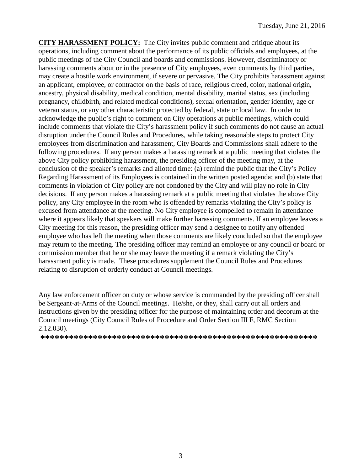**CITY HARASSMENT POLICY:** The City invites public comment and critique about its operations, including comment about the performance of its public officials and employees, at the public meetings of the City Council and boards and commissions. However, discriminatory or harassing comments about or in the presence of City employees, even comments by third parties, may create a hostile work environment, if severe or pervasive. The City prohibits harassment against an applicant, employee, or contractor on the basis of race, religious creed, color, national origin, ancestry, physical disability, medical condition, mental disability, marital status, sex (including pregnancy, childbirth, and related medical conditions), sexual orientation, gender identity, age or veteran status, or any other characteristic protected by federal, state or local law. In order to acknowledge the public's right to comment on City operations at public meetings, which could include comments that violate the City's harassment policy if such comments do not cause an actual disruption under the Council Rules and Procedures, while taking reasonable steps to protect City employees from discrimination and harassment, City Boards and Commissions shall adhere to the following procedures. If any person makes a harassing remark at a public meeting that violates the above City policy prohibiting harassment, the presiding officer of the meeting may, at the conclusion of the speaker's remarks and allotted time: (a) remind the public that the City's Policy Regarding Harassment of its Employees is contained in the written posted agenda; and (b) state that comments in violation of City policy are not condoned by the City and will play no role in City decisions. If any person makes a harassing remark at a public meeting that violates the above City policy, any City employee in the room who is offended by remarks violating the City's policy is excused from attendance at the meeting. No City employee is compelled to remain in attendance where it appears likely that speakers will make further harassing comments. If an employee leaves a City meeting for this reason, the presiding officer may send a designee to notify any offended employee who has left the meeting when those comments are likely concluded so that the employee may return to the meeting. The presiding officer may remind an employee or any council or board or commission member that he or she may leave the meeting if a remark violating the City's harassment policy is made. These procedures supplement the Council Rules and Procedures relating to disruption of orderly conduct at Council meetings.

Any law enforcement officer on duty or whose service is commanded by the presiding officer shall be Sergeant-at-Arms of the Council meetings. He/she, or they, shall carry out all orders and instructions given by the presiding officer for the purpose of maintaining order and decorum at the Council meetings (City Council Rules of Procedure and Order Section III F, RMC Section 2.12.030).

**\*\*\*\*\*\*\*\*\*\*\*\*\*\*\*\*\*\*\*\*\*\*\*\*\*\*\*\*\*\*\*\*\*\*\*\*\*\*\*\*\*\*\*\*\*\*\*\*\*\*\*\*\*\*\*\*\*\***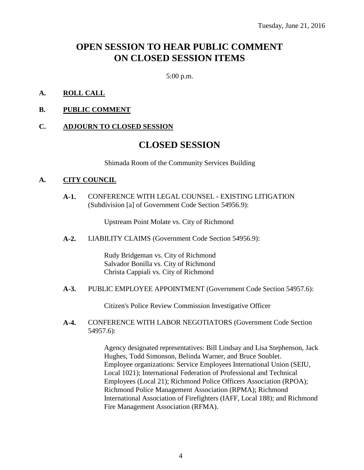# **OPEN SESSION TO HEAR PUBLIC COMMENT ON CLOSED SESSION ITEMS**

5:00 p.m.

### **A. ROLL CALL**

**B. PUBLIC COMMENT**

#### **C. ADJOURN TO CLOSED SESSION**

## **CLOSED SESSION**

Shimada Room of the Community Services Building

#### **A. CITY COUNCIL**

**A-1.** CONFERENCE WITH LEGAL COUNSEL - EXISTING LITIGATION (Subdivision [a] of Government Code Section 54956.9):

Upstream Point Molate vs. City of Richmond

**A-2.** LIABILITY CLAIMS (Government Code Section 54956.9):

Rudy Bridgeman vs. City of Richmond Salvador Bonilla vs. City of Richmond Christa Cappiali vs. City of Richmond

**A-3.** PUBLIC EMPLOYEE APPOINTMENT (Government Code Section 54957.6):

Citizen's Police Review Commission Investigative Officer

**A-4.** CONFERENCE WITH LABOR NEGOTIATORS (Government Code Section 54957.6):

> Agency designated representatives: Bill Lindsay and Lisa Stephenson, Jack Hughes, Todd Simonson, Belinda Warner, and Bruce Soublet. Employee organizations: Service Employees International Union (SEIU, Local 1021); International Federation of Professional and Technical Employees (Local 21); Richmond Police Officers Association (RPOA); Richmond Police Management Association (RPMA); Richmond International Association of Firefighters (IAFF, Local 188); and Richmond Fire Management Association (RFMA).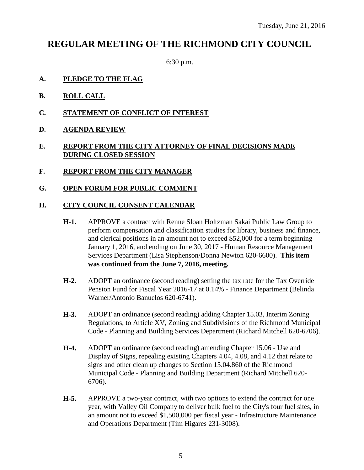# **REGULAR MEETING OF THE RICHMOND CITY COUNCIL**

6:30 p.m.

- **A. PLEDGE TO THE FLAG**
- **B. ROLL CALL**
- **C. STATEMENT OF CONFLICT OF INTEREST**
- **D. AGENDA REVIEW**

### **E. REPORT FROM THE CITY ATTORNEY OF FINAL DECISIONS MADE DURING CLOSED SESSION**

- **F. REPORT FROM THE CITY MANAGER**
- **G. OPEN FORUM FOR PUBLIC COMMENT**

#### **H. CITY COUNCIL CONSENT CALENDAR**

- **H-1.** APPROVE a contract with Renne Sloan Holtzman Sakai Public Law Group to perform compensation and classification studies for library, business and finance, and clerical positions in an amount not to exceed \$52,000 for a term beginning January 1, 2016, and ending on June 30, 2017 - Human Resource Management Services Department (Lisa Stephenson/Donna Newton 620-6600). **This item was continued from the June 7, 2016, meeting.**
- **H-2.** ADOPT an ordinance (second reading) setting the tax rate for the Tax Override Pension Fund for Fiscal Year 2016-17 at 0.14% - Finance Department (Belinda Warner/Antonio Banuelos 620-6741).
- **H-3.** ADOPT an ordinance (second reading) adding Chapter 15.03, Interim Zoning Regulations, to Article XV, Zoning and Subdivisions of the Richmond Municipal Code - Planning and Building Services Department (Richard Mitchell 620-6706).
- **H-4.** ADOPT an ordinance (second reading) amending Chapter 15.06 Use and Display of Signs, repealing existing Chapters 4.04, 4.08, and 4.12 that relate to signs and other clean up changes to Section 15.04.860 of the Richmond Municipal Code - Planning and Building Department (Richard Mitchell 620- 6706).
- **H-5.** APPROVE a two-year contract, with two options to extend the contract for one year, with Valley Oil Company to deliver bulk fuel to the City's four fuel sites, in an amount not to exceed \$1,500,000 per fiscal year - Infrastructure Maintenance and Operations Department (Tim Higares 231-3008).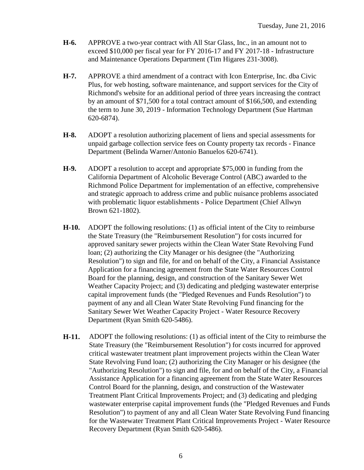- **H-6.** APPROVE a two-year contract with All Star Glass, Inc., in an amount not to exceed \$10,000 per fiscal year for FY 2016-17 and FY 2017-18 - Infrastructure and Maintenance Operations Department (Tim Higares 231-3008).
- **H-7.** APPROVE a third amendment of a contract with Icon Enterprise, Inc. dba Civic Plus, for web hosting, software maintenance, and support services for the City of Richmond's website for an additional period of three years increasing the contract by an amount of \$71,500 for a total contract amount of \$166,500, and extending the term to June 30, 2019 - Information Technology Department (Sue Hartman 620-6874).
- **H-8.** ADOPT a resolution authorizing placement of liens and special assessments for unpaid garbage collection service fees on County property tax records - Finance Department (Belinda Warner/Antonio Banuelos 620-6741).
- **H-9.** ADOPT a resolution to accept and appropriate \$75,000 in funding from the California Department of Alcoholic Beverage Control (ABC) awarded to the Richmond Police Department for implementation of an effective, comprehensive and strategic approach to address crime and public nuisance problems associated with problematic liquor establishments - Police Department (Chief Allwyn Brown 621-1802).
- **H-10.** ADOPT the following resolutions: (1) as official intent of the City to reimburse the State Treasury (the "Reimbursement Resolution") for costs incurred for approved sanitary sewer projects within the Clean Water State Revolving Fund loan; (2) authorizing the City Manager or his designee (the "Authorizing Resolution") to sign and file, for and on behalf of the City, a Financial Assistance Application for a financing agreement from the State Water Resources Control Board for the planning, design, and construction of the Sanitary Sewer Wet Weather Capacity Project; and (3) dedicating and pledging wastewater enterprise capital improvement funds (the "Pledged Revenues and Funds Resolution") to payment of any and all Clean Water State Revolving Fund financing for the Sanitary Sewer Wet Weather Capacity Project - Water Resource Recovery Department (Ryan Smith 620-5486).
- **H-11.** ADOPT the following resolutions: (1) as official intent of the City to reimburse the State Treasury (the "Reimbursement Resolution") for costs incurred for approved critical wastewater treatment plant improvement projects within the Clean Water State Revolving Fund loan; (2) authorizing the City Manager or his designee (the "Authorizing Resolution") to sign and file, for and on behalf of the City, a Financial Assistance Application for a financing agreement from the State Water Resources Control Board for the planning, design, and construction of the Wastewater Treatment Plant Critical Improvements Project; and (3) dedicating and pledging wastewater enterprise capital improvement funds (the "Pledged Revenues and Funds Resolution") to payment of any and all Clean Water State Revolving Fund financing for the Wastewater Treatment Plant Critical Improvements Project - Water Resource Recovery Department (Ryan Smith 620-5486).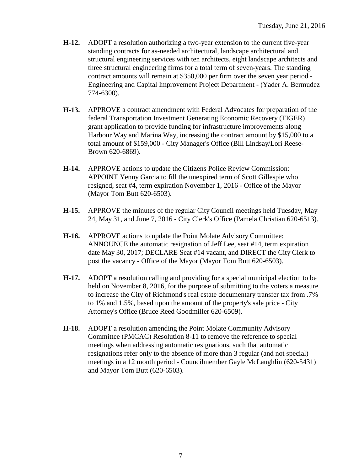- **H-12.** ADOPT a resolution authorizing a two-year extension to the current five-year standing contracts for as-needed architectural, landscape architectural and structural engineering services with ten architects, eight landscape architects and three structural engineering firms for a total term of seven-years. The standing contract amounts will remain at \$350,000 per firm over the seven year period - Engineering and Capital Improvement Project Department - (Yader A. Bermudez 774-6300).
- **H-13.** APPROVE a contract amendment with Federal Advocates for preparation of the federal Transportation Investment Generating Economic Recovery (TIGER) grant application to provide funding for infrastructure improvements along Harbour Way and Marina Way, increasing the contract amount by \$15,000 to a total amount of \$159,000 - City Manager's Office (Bill Lindsay/Lori Reese-Brown 620-6869).
- **H-14.** APPROVE actions to update the Citizens Police Review Commission: APPOINT Yenny Garcia to fill the unexpired term of Scott Gillespie who resigned, seat #4, term expiration November 1, 2016 - Office of the Mayor (Mayor Tom Butt 620-6503).
- **H-15.** APPROVE the minutes of the regular City Council meetings held Tuesday, May 24, May 31, and June 7, 2016 - City Clerk's Office (Pamela Christian 620-6513).
- **H-16.** APPROVE actions to update the Point Molate Advisory Committee: ANNOUNCE the automatic resignation of Jeff Lee, seat #14, term expiration date May 30, 2017; DECLARE Seat #14 vacant, and DIRECT the City Clerk to post the vacancy - Office of the Mayor (Mayor Tom Butt 620-6503).
- **H-17.** ADOPT a resolution calling and providing for a special municipal election to be held on November 8, 2016, for the purpose of submitting to the voters a measure to increase the City of Richmond's real estate documentary transfer tax from .7% to 1% and 1.5%, based upon the amount of the property's sale price - City Attorney's Office (Bruce Reed Goodmiller 620-6509).
- **H-18.** ADOPT a resolution amending the Point Molate Community Advisory Committee (PMCAC) Resolution 8-11 to remove the reference to special meetings when addressing automatic resignations, such that automatic resignations refer only to the absence of more than 3 regular (and not special) meetings in a 12 month period - Councilmember Gayle McLaughlin (620-5431) and Mayor Tom Butt (620-6503).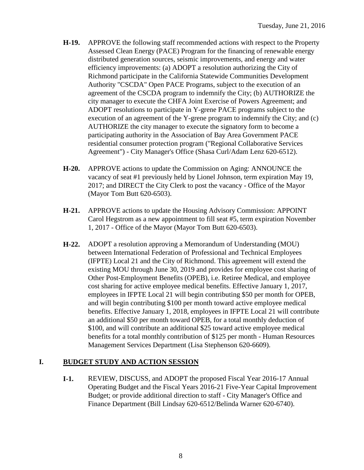- **H-19.** APPROVE the following staff recommended actions with respect to the Property Assessed Clean Energy (PACE) Program for the financing of renewable energy distributed generation sources, seismic improvements, and energy and water efficiency improvements: (a) ADOPT a resolution authorizing the City of Richmond participate in the California Statewide Communities Development Authority "CSCDA" Open PACE Programs, subject to the execution of an agreement of the CSCDA program to indemnify the City; (b) AUTHORIZE the city manager to execute the CHFA Joint Exercise of Powers Agreement; and ADOPT resolutions to participate in Y-grene PACE programs subject to the execution of an agreement of the Y-grene program to indemnify the City; and (c) AUTHORIZE the city manager to execute the signatory form to become a participating authority in the Association of Bay Area Government PACE residential consumer protection program ("Regional Collaborative Services Agreement") - City Manager's Office (Shasa Curl/Adam Lenz 620-6512).
- **H-20.** APPROVE actions to update the Commission on Aging: ANNOUNCE the vacancy of seat #1 previously held by Lionel Johnson, term expiration May 19, 2017; and DIRECT the City Clerk to post the vacancy - Office of the Mayor (Mayor Tom Butt 620-6503).
- **H-21.** APPROVE actions to update the Housing Advisory Commission: APPOINT Carol Hegstrom as a new appointment to fill seat #5, term expiration November 1, 2017 - Office of the Mayor (Mayor Tom Butt 620-6503).
- **H-22.** ADOPT a resolution approving a Memorandum of Understanding (MOU) between International Federation of Professional and Technical Employees (IFPTE) Local 21 and the City of Richmond. This agreement will extend the existing MOU through June 30, 2019 and provides for employee cost sharing of Other Post-Employment Benefits (OPEB), i.e. Retiree Medical, and employee cost sharing for active employee medical benefits. Effective January 1, 2017, employees in IFPTE Local 21 will begin contributing \$50 per month for OPEB, and will begin contributing \$100 per month toward active employee medical benefits. Effective January 1, 2018, employees in IFPTE Local 21 will contribute an additional \$50 per month toward OPEB, for a total monthly deduction of \$100, and will contribute an additional \$25 toward active employee medical benefits for a total monthly contribution of \$125 per month - Human Resources Management Services Department (Lisa Stephenson 620-6609).

### **I. BUDGET STUDY AND ACTION SESSION**

**I-1.** REVIEW, DISCUSS, and ADOPT the proposed Fiscal Year 2016-17 Annual Operating Budget and the Fiscal Years 2016-21 Five-Year Capital Improvement Budget; or provide additional direction to staff - City Manager's Office and Finance Department (Bill Lindsay 620-6512/Belinda Warner 620-6740).